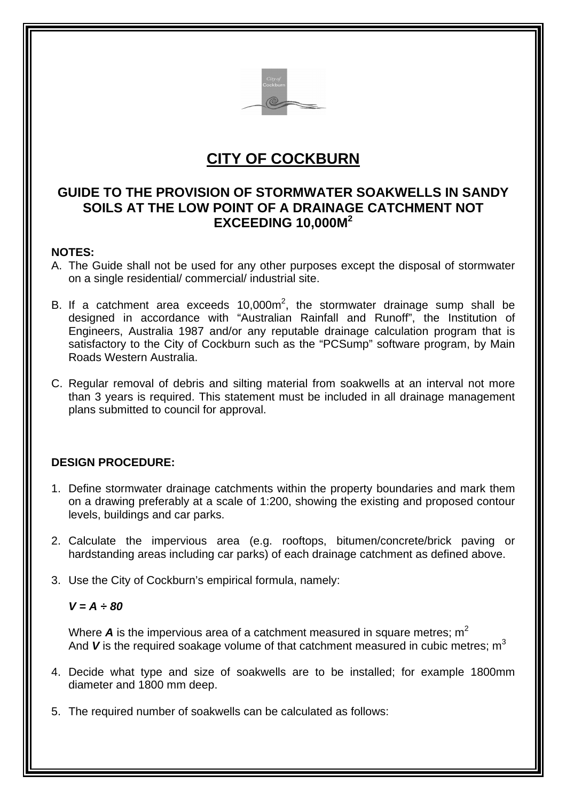

# **CITY OF COCKBURN**

# **GUIDE TO THE PROVISION OF STORMWATER SOAKWELLS IN SANDY SOILS AT THE LOW POINT OF A DRAINAGE CATCHMENT NOT EXCEEDING 10,000M<sup>2</sup>**

#### **NOTES:**

- A. The Guide shall not be used for any other purposes except the disposal of stormwater on a single residential/ commercial/ industrial site.
- B. If a catchment area exceeds  $10,000$ m<sup>2</sup>, the stormwater drainage sump shall be designed in accordance with "Australian Rainfall and Runoff", the Institution of Engineers, Australia 1987 and/or any reputable drainage calculation program that is satisfactory to the City of Cockburn such as the "PCSump" software program, by Main Roads Western Australia.
- C. Regular removal of debris and silting material from soakwells at an interval not more than 3 years is required. This statement must be included in all drainage management plans submitted to council for approval.

## **DESIGN PROCEDURE:**

- 1. Define stormwater drainage catchments within the property boundaries and mark them on a drawing preferably at a scale of 1:200, showing the existing and proposed contour levels, buildings and car parks.
- 2. Calculate the impervious area (e.g. rooftops, bitumen/concrete/brick paving or hardstanding areas including car parks) of each drainage catchment as defined above.
- 3. Use the City of Cockburn's empirical formula, namely:

#### $V = A \div 80$

Where  $\boldsymbol{A}$  is the impervious area of a catchment measured in square metres;  $m^2$ And  $\boldsymbol{V}$  is the required soakage volume of that catchment measured in cubic metres;  $m^3$ 

- 4. Decide what type and size of soakwells are to be installed; for example 1800mm diameter and 1800 mm deep.
- 5. The required number of soakwells can be calculated as follows: